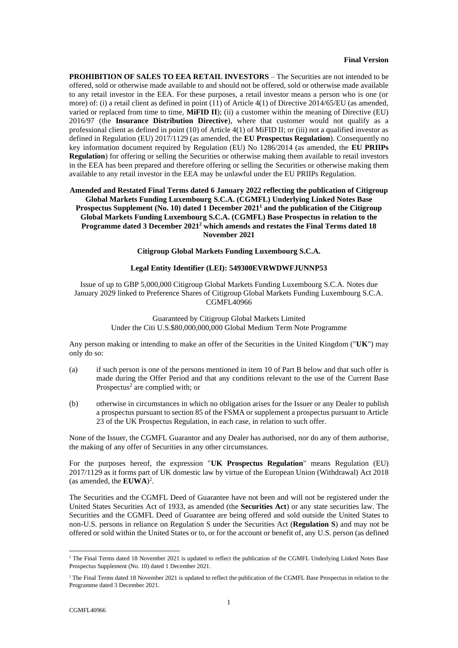**PROHIBITION OF SALES TO EEA RETAIL INVESTORS** – The Securities are not intended to be offered, sold or otherwise made available to and should not be offered, sold or otherwise made available to any retail investor in the EEA. For these purposes, a retail investor means a person who is one (or more) of: (i) a retail client as defined in point (11) of Article 4(1) of Directive 2014/65/EU (as amended, varied or replaced from time to time, **MiFID II**); (ii) a customer within the meaning of Directive (EU) 2016/97 (the **Insurance Distribution Directive**), where that customer would not qualify as a professional client as defined in point (10) of Article 4(1) of MiFID II; or (iii) not a qualified investor as defined in Regulation (EU) 2017/1129 (as amended, the **EU Prospectus Regulation**). Consequently no key information document required by Regulation (EU) No 1286/2014 (as amended, the **EU PRIIPs Regulation**) for offering or selling the Securities or otherwise making them available to retail investors in the EEA has been prepared and therefore offering or selling the Securities or otherwise making them available to any retail investor in the EEA may be unlawful under the EU PRIIPs Regulation.

## **Amended and Restated Final Terms dated 6 January 2022 reflecting the publication of Citigroup Global Markets Funding Luxembourg S.C.A. (CGMFL) Underlying Linked Notes Base Prospectus Supplement (No. 10) dated 1 December 2021<sup>1</sup> and the publication of the Citigroup Global Markets Funding Luxembourg S.C.A. (CGMFL) Base Prospectus in relation to the Programme dated 3 December 2021<sup>2</sup> which amends and restates the Final Terms dated 18 November 2021**

#### **Citigroup Global Markets Funding Luxembourg S.C.A.**

### **Legal Entity Identifier (LEI): 549300EVRWDWFJUNNP53**

Issue of up to GBP 5,000,000 Citigroup Global Markets Funding Luxembourg S.C.A. Notes due January 2029 linked to Preference Shares of Citigroup Global Markets Funding Luxembourg S.C.A. CGMFL40966

> Guaranteed by Citigroup Global Markets Limited Under the Citi U.S.\$80,000,000,000 Global Medium Term Note Programme

Any person making or intending to make an offer of the Securities in the United Kingdom ("**UK**") may only do so:

- (a) if such person is one of the persons mentioned in item [10](#page-10-0) of [Part B](#page-8-0) below and that such offer is made during the Offer Period and that any conditions relevant to the use of the Current Base Prospectus<sup>2</sup> are complied with; or
- (b) otherwise in circumstances in which no obligation arises for the Issuer or any Dealer to publish a prospectus pursuant to section 85 of the FSMA or supplement a prospectus pursuant to Article 23 of the UK Prospectus Regulation, in each case, in relation to such offer.

None of the Issuer, the CGMFL Guarantor and any Dealer has authorised, nor do any of them authorise, the making of any offer of Securities in any other circumstances.

For the purposes hereof, the expression "**UK Prospectus Regulation**" means Regulation (EU) 2017/1129 as it forms part of UK domestic law by virtue of the European Union (Withdrawal) Act 2018 (as amended, the **EUWA**) 2 .

The Securities and the CGMFL Deed of Guarantee have not been and will not be registered under the United States Securities Act of 1933, as amended (the **Securities Act**) or any state securities law. The Securities and the CGMFL Deed of Guarantee are being offered and sold outside the United States to non-U.S. persons in reliance on Regulation S under the Securities Act (**Regulation S**) and may not be offered or sold within the United States or to, or for the account or benefit of, any U.S. person (as defined

<sup>&</sup>lt;sup>1</sup> The Final Terms dated 18 November 2021 is updated to reflect the publication of the CGMFL Underlying Linked Notes Base Prospectus Supplement (No. 10) dated 1 December 2021.

<sup>&</sup>lt;sup>2</sup> The Final Terms dated 18 November 2021 is updated to reflect the publication of the CGMFL Base Prospectus in relation to the Programme dated 3 December 2021.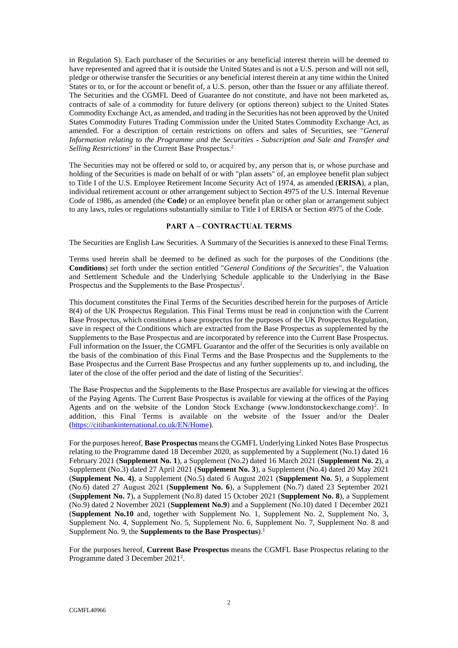in Regulation S). Each purchaser of the Securities or any beneficial interest therein will be deemed to have represented and agreed that it is outside the United States and is not a U.S. person and will not sell, pledge or otherwise transfer the Securities or any beneficial interest therein at any time within the United States or to, or for the account or benefit of, a U.S. person, other than the Issuer or any affiliate thereof. The Securities and the CGMFL Deed of Guarantee do not constitute, and have not been marketed as, contracts of sale of a commodity for future delivery (or options thereon) subject to the United States Commodity Exchange Act, as amended, and trading in the Securities has not been approved by the United States Commodity Futures Trading Commission under the United States Commodity Exchange Act, as amended. For a description of certain restrictions on offers and sales of Securities, see "*General Information relating to the Programme and the Securities - Subscription and Sale and Transfer and Selling Restrictions*" in the Current Base Prospectus.<sup>2</sup>

The Securities may not be offered or sold to, or acquired by, any person that is, or whose purchase and holding of the Securities is made on behalf of or with "plan assets" of, an employee benefit plan subject to Title I of the U.S. Employee Retirement Income Security Act of 1974, as amended (**ERISA**), a plan, individual retirement account or other arrangement subject to Section 4975 of the U.S. Internal Revenue Code of 1986, as amended (the **Code**) or an employee benefit plan or other plan or arrangement subject to any laws, rules or regulations substantially similar to Title I of ERISA or Section 4975 of the Code.

## <span id="page-1-0"></span>**PART A – CONTRACTUAL TERMS**

The Securities are English Law Securities. A Summary of the Securities is annexed to these Final Terms.

Terms used herein shall be deemed to be defined as such for the purposes of the Conditions (the **Conditions**) set forth under the section entitled "*General Conditions of the Securities*", the Valuation and Settlement Schedule and the Underlying Schedule applicable to the Underlying in the Base Prospectus and the Supplements to the Base Prospectus<sup>2</sup>.

This document constitutes the Final Terms of the Securities described herein for the purposes of Article 8(4) of the UK Prospectus Regulation. This Final Terms must be read in conjunction with the Current Base Prospectus, which constitutes a base prospectus for the purposes of the UK Prospectus Regulation, save in respect of the Conditions which are extracted from the Base Prospectus as supplemented by the Supplements to the Base Prospectus and are incorporated by reference into the Current Base Prospectus. Full information on the Issuer, the CGMFL Guarantor and the offer of the Securities is only available on the basis of the combination of this Final Terms and the Base Prospectus and the Supplements to the Base Prospectus and the Current Base Prospectus and any further supplements up to, and including, the later of the close of the offer period and the date of listing of the Securities<sup>2</sup>.

The Base Prospectus and the Supplements to the Base Prospectus are available for viewing at the offices of the Paying Agents. The Current Base Prospectus is available for viewing at the offices of the Paying Agents and on the website of the London Stock Exchange (www.londonstockexchange.com)<sup>2</sup>. In addition, this Final Terms is available on the website of the Issuer and/or the Dealer [\(https://citibankinternational.co.uk/EN/Home\)](https://citibankinternational.co.uk/EN/Home).

For the purposes hereof, **Base Prospectus** means the CGMFL Underlying Linked Notes Base Prospectus relating to the Programme dated 18 December 2020, as supplemented by a Supplement (No.1) dated 16 February 2021 (**Supplement No. 1**), a Supplement (No.2) dated 16 March 2021 (**Supplement No. 2**), a Supplement (No.3) dated 27 April 2021 (**Supplement No. 3**), a Supplement (No.4) dated 20 May 2021 (**Supplement No. 4)**, a Supplement (No.5) dated 6 August 2021 (**Supplement No. 5**), a Supplement (No.6) dated 27 August 2021 (**Supplement No. 6**), a Supplement (No.7) dated 23 September 2021 (**Supplement No. 7**), a Supplement (No.8) dated 15 October 2021 (**Supplement No. 8**), a Supplement (No.9) dated 2 November 2021 (**Supplement No.9**) and a Supplement (No.10) dated 1 December 2021 (**Supplement No.10** and, together with Supplement No. 1, Supplement No. 2, Supplement No. 3, Supplement No. 4, Supplement No. 5, Supplement No. 6, Supplement No. 7, Supplement No. 8 and Supplement No. 9, the **Supplements to the Base Prospectus**).<sup>1</sup>

For the purposes hereof, **Current Base Prospectus** means the CGMFL Base Prospectus relating to the Programme dated 3 December 2021<sup>2</sup>.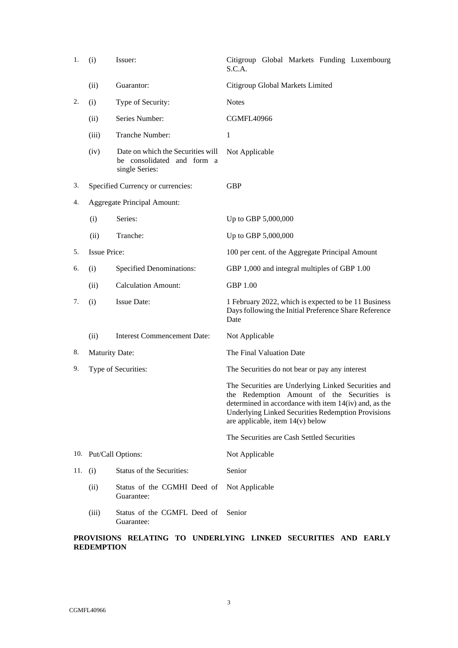| 1.  | (i)                   | Issuer:                                                                           | Citigroup Global Markets Funding Luxembourg<br>S.C.A.                                                                                                                                                                                                         |  |  |  |  |  |
|-----|-----------------------|-----------------------------------------------------------------------------------|---------------------------------------------------------------------------------------------------------------------------------------------------------------------------------------------------------------------------------------------------------------|--|--|--|--|--|
|     | (ii)                  | Guarantor:                                                                        | Citigroup Global Markets Limited                                                                                                                                                                                                                              |  |  |  |  |  |
| 2.  | (i)                   | Type of Security:                                                                 | <b>Notes</b>                                                                                                                                                                                                                                                  |  |  |  |  |  |
|     | (ii)                  | Series Number:                                                                    | <b>CGMFL40966</b>                                                                                                                                                                                                                                             |  |  |  |  |  |
|     | (iii)                 | Tranche Number:                                                                   | $\mathbf{1}$                                                                                                                                                                                                                                                  |  |  |  |  |  |
|     | (iv)                  | Date on which the Securities will<br>be consolidated and form a<br>single Series: | Not Applicable                                                                                                                                                                                                                                                |  |  |  |  |  |
| 3.  |                       | Specified Currency or currencies:                                                 | <b>GBP</b>                                                                                                                                                                                                                                                    |  |  |  |  |  |
| 4.  |                       | <b>Aggregate Principal Amount:</b>                                                |                                                                                                                                                                                                                                                               |  |  |  |  |  |
|     | (i)                   | Series:                                                                           | Up to GBP 5,000,000                                                                                                                                                                                                                                           |  |  |  |  |  |
|     | (ii)                  | Tranche:                                                                          | Up to GBP 5,000,000                                                                                                                                                                                                                                           |  |  |  |  |  |
| 5.  | <b>Issue Price:</b>   |                                                                                   | 100 per cent. of the Aggregate Principal Amount                                                                                                                                                                                                               |  |  |  |  |  |
| 6.  | (i)                   | <b>Specified Denominations:</b>                                                   | GBP 1,000 and integral multiples of GBP 1.00                                                                                                                                                                                                                  |  |  |  |  |  |
|     | (ii)                  | <b>Calculation Amount:</b>                                                        | <b>GBP 1.00</b>                                                                                                                                                                                                                                               |  |  |  |  |  |
| 7.  | (i)                   | <b>Issue Date:</b>                                                                | 1 February 2022, which is expected to be 11 Business<br>Days following the Initial Preference Share Reference<br>Date                                                                                                                                         |  |  |  |  |  |
|     | (ii)                  | <b>Interest Commencement Date:</b>                                                | Not Applicable                                                                                                                                                                                                                                                |  |  |  |  |  |
| 8.  | <b>Maturity Date:</b> |                                                                                   | The Final Valuation Date                                                                                                                                                                                                                                      |  |  |  |  |  |
| 9.  |                       | Type of Securities:                                                               | The Securities do not bear or pay any interest                                                                                                                                                                                                                |  |  |  |  |  |
|     |                       |                                                                                   | The Securities are Underlying Linked Securities and<br>the Redemption Amount of the Securities is<br>determined in accordance with item 14(iv) and, as the<br><b>Underlying Linked Securities Redemption Provisions</b><br>are applicable, item $14(v)$ below |  |  |  |  |  |
|     |                       |                                                                                   | The Securities are Cash Settled Securities                                                                                                                                                                                                                    |  |  |  |  |  |
|     |                       | 10. Put/Call Options:                                                             | Not Applicable                                                                                                                                                                                                                                                |  |  |  |  |  |
| 11. | (i)                   | Status of the Securities:                                                         | Senior                                                                                                                                                                                                                                                        |  |  |  |  |  |
|     | (ii)                  | Status of the CGMHI Deed of<br>Guarantee:                                         | Not Applicable                                                                                                                                                                                                                                                |  |  |  |  |  |
|     | (iii)                 | Status of the CGMFL Deed of<br>Guarantee:                                         | Senior                                                                                                                                                                                                                                                        |  |  |  |  |  |

# **PROVISIONS RELATING TO UNDERLYING LINKED SECURITIES AND EARLY REDEMPTION**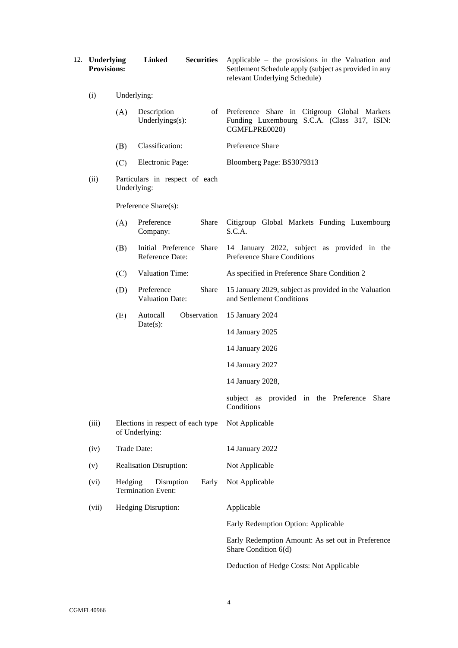| 12. Underlying<br><b>Provisions:</b> |             | <b>Linked</b>                                       | <b>Securities</b> | Applicable – the provisions in the Valuation and<br>Settlement Schedule apply (subject as provided in any<br>relevant Underlying Schedule) |
|--------------------------------------|-------------|-----------------------------------------------------|-------------------|--------------------------------------------------------------------------------------------------------------------------------------------|
| (i)                                  | Underlying: |                                                     |                   |                                                                                                                                            |
|                                      | (A)         | Description<br>Underlyings(s):                      |                   | of Preference Share in Citigroup Global Markets<br>Funding Luxembourg S.C.A. (Class 317, ISIN:<br>CGMFLPRE0020)                            |
|                                      | (B)         | Classification:                                     |                   | Preference Share                                                                                                                           |
|                                      | (C)         | Electronic Page:                                    |                   | Bloomberg Page: BS3079313                                                                                                                  |
| (ii)                                 |             | Particulars in respect of each<br>Underlying:       |                   |                                                                                                                                            |
|                                      |             | Preference Share(s):                                |                   |                                                                                                                                            |
|                                      | (A)         | Preference<br>Company:                              | Share             | Citigroup Global Markets Funding Luxembourg<br>S.C.A.                                                                                      |
|                                      | (B)         | Initial Preference Share<br>Reference Date:         |                   | 14 January 2022, subject as provided in the<br><b>Preference Share Conditions</b>                                                          |
|                                      | (C)         | Valuation Time:                                     |                   | As specified in Preference Share Condition 2                                                                                               |
|                                      | (D)         | Preference<br><b>Valuation Date:</b>                | Share             | 15 January 2029, subject as provided in the Valuation<br>and Settlement Conditions                                                         |
|                                      | (E)         | Autocall                                            | Observation       | 15 January 2024                                                                                                                            |
|                                      |             | Date(s):                                            |                   | 14 January 2025                                                                                                                            |
|                                      |             |                                                     |                   | 14 January 2026                                                                                                                            |
|                                      |             |                                                     |                   | 14 January 2027                                                                                                                            |
|                                      |             |                                                     |                   | 14 January 2028,                                                                                                                           |
|                                      |             |                                                     |                   | subject as provided in the Preference Share<br>Conditions                                                                                  |
| (iii)                                |             | Elections in respect of each type<br>of Underlying: |                   | Not Applicable                                                                                                                             |
| (iv)                                 |             | Trade Date:                                         |                   | 14 January 2022                                                                                                                            |
| (v)                                  |             | <b>Realisation Disruption:</b>                      |                   | Not Applicable                                                                                                                             |
| (vi)                                 | Hedging     | Disruption<br><b>Termination Event:</b>             | Early             | Not Applicable                                                                                                                             |
| (vii)                                |             | Hedging Disruption:                                 |                   | Applicable                                                                                                                                 |
|                                      |             |                                                     |                   | Early Redemption Option: Applicable                                                                                                        |
|                                      |             |                                                     |                   | Early Redemption Amount: As set out in Preference<br>Share Condition 6(d)                                                                  |
|                                      |             |                                                     |                   | Deduction of Hedge Costs: Not Applicable                                                                                                   |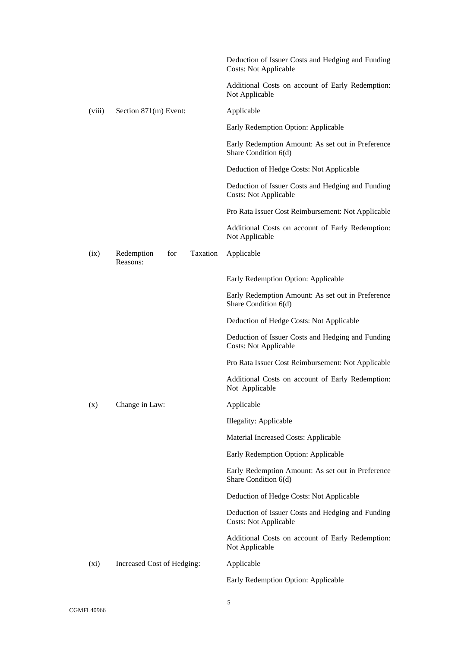|         |                                           | Deduction of Issuer Costs and Hedging and Funding<br><b>Costs: Not Applicable</b> |  |  |
|---------|-------------------------------------------|-----------------------------------------------------------------------------------|--|--|
|         |                                           | Additional Costs on account of Early Redemption:<br>Not Applicable                |  |  |
| (viii)  | Section 871(m) Event:                     | Applicable                                                                        |  |  |
|         |                                           | Early Redemption Option: Applicable                                               |  |  |
|         |                                           | Early Redemption Amount: As set out in Preference<br>Share Condition 6(d)         |  |  |
|         |                                           | Deduction of Hedge Costs: Not Applicable                                          |  |  |
|         |                                           | Deduction of Issuer Costs and Hedging and Funding<br><b>Costs: Not Applicable</b> |  |  |
|         |                                           | Pro Rata Issuer Cost Reimbursement: Not Applicable                                |  |  |
|         |                                           | Additional Costs on account of Early Redemption:<br>Not Applicable                |  |  |
| (ix)    | Taxation<br>for<br>Redemption<br>Reasons: | Applicable                                                                        |  |  |
|         |                                           | Early Redemption Option: Applicable                                               |  |  |
|         |                                           | Early Redemption Amount: As set out in Preference<br>Share Condition 6(d)         |  |  |
|         |                                           | Deduction of Hedge Costs: Not Applicable                                          |  |  |
|         |                                           | Deduction of Issuer Costs and Hedging and Funding<br><b>Costs: Not Applicable</b> |  |  |
|         |                                           | Pro Rata Issuer Cost Reimbursement: Not Applicable                                |  |  |
|         |                                           | Additional Costs on account of Early Redemption:<br>Not Applicable                |  |  |
| (x)     | Change in Law:                            | Applicable                                                                        |  |  |
|         |                                           | Illegality: Applicable                                                            |  |  |
|         |                                           | Material Increased Costs: Applicable                                              |  |  |
|         |                                           | Early Redemption Option: Applicable                                               |  |  |
|         |                                           | Early Redemption Amount: As set out in Preference<br>Share Condition 6(d)         |  |  |
|         |                                           | Deduction of Hedge Costs: Not Applicable                                          |  |  |
|         |                                           | Deduction of Issuer Costs and Hedging and Funding<br><b>Costs: Not Applicable</b> |  |  |
|         |                                           | Additional Costs on account of Early Redemption:<br>Not Applicable                |  |  |
| $(x_i)$ | Increased Cost of Hedging:                | Applicable                                                                        |  |  |
|         |                                           | Early Redemption Option: Applicable                                               |  |  |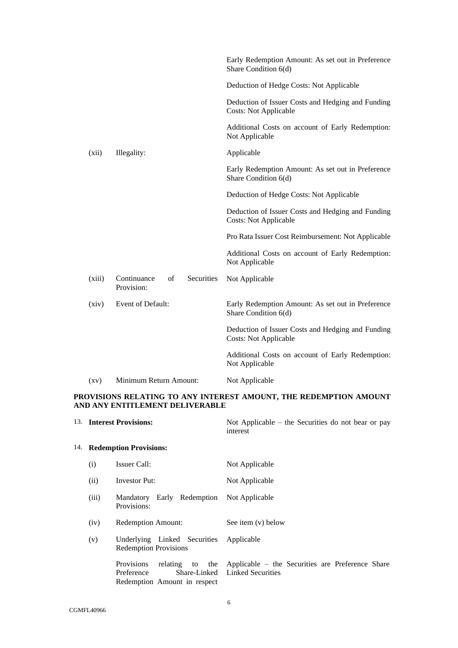|                    |                                               | Early Redemption Amount: As set out in Preference<br>Share Condition 6(d)         |
|--------------------|-----------------------------------------------|-----------------------------------------------------------------------------------|
|                    |                                               | Deduction of Hedge Costs: Not Applicable                                          |
|                    |                                               | Deduction of Issuer Costs and Hedging and Funding<br><b>Costs: Not Applicable</b> |
|                    |                                               | Additional Costs on account of Early Redemption:<br>Not Applicable                |
| (xii)              | Illegality:                                   | Applicable                                                                        |
|                    |                                               | Early Redemption Amount: As set out in Preference<br>Share Condition 6(d)         |
|                    |                                               | Deduction of Hedge Costs: Not Applicable                                          |
|                    |                                               | Deduction of Issuer Costs and Hedging and Funding<br><b>Costs: Not Applicable</b> |
|                    |                                               | Pro Rata Issuer Cost Reimbursement: Not Applicable                                |
|                    |                                               | Additional Costs on account of Early Redemption:<br>Not Applicable                |
| (xiii)             | Securities<br>Continuance<br>of<br>Provision: | Not Applicable                                                                    |
| (xiv)              | Event of Default:                             | Early Redemption Amount: As set out in Preference<br>Share Condition 6(d)         |
|                    |                                               | Deduction of Issuer Costs and Hedging and Funding<br><b>Costs: Not Applicable</b> |
|                    |                                               | Additional Costs on account of Early Redemption:<br>Not Applicable                |
| $\left( xy\right)$ | Minimum Return Amount:                        | Not Applicable                                                                    |

# **PROVISIONS RELATING TO ANY INTEREST AMOUNT, THE REDEMPTION AMOUNT AND ANY ENTITLEMENT DELIVERABLE**

<span id="page-5-1"></span><span id="page-5-0"></span>

| 13. Interest Provisions: |                                                                                    | Not Applicable – the Securities do not bear or pay<br>interest                     |  |  |
|--------------------------|------------------------------------------------------------------------------------|------------------------------------------------------------------------------------|--|--|
|                          | 14. Redemption Provisions:                                                         |                                                                                    |  |  |
| (i)                      | Issuer Call:                                                                       | Not Applicable                                                                     |  |  |
| (ii)                     | Investor Put:                                                                      | Not Applicable                                                                     |  |  |
| (iii)                    | Mandatory Early Redemption Not Applicable<br>Provisions:                           |                                                                                    |  |  |
| (iv)                     | <b>Redemption Amount:</b>                                                          | See item (v) below                                                                 |  |  |
| (v)                      | Underlying Linked Securities<br><b>Redemption Provisions</b>                       | Applicable                                                                         |  |  |
|                          | relating to the<br><b>Provisions</b><br>Preference<br>Redemption Amount in respect | Applicable – the Securities are Preference Share<br>Share-Linked Linked Securities |  |  |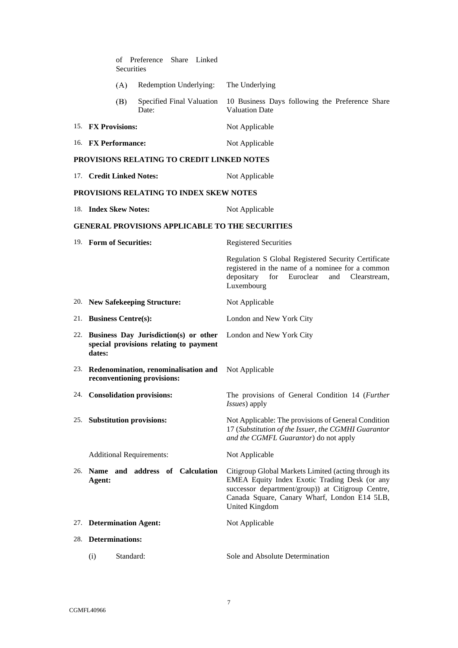| of Preference Share Linked<br>Securities                                                      |                                                                                                                                                                                                                                     |
|-----------------------------------------------------------------------------------------------|-------------------------------------------------------------------------------------------------------------------------------------------------------------------------------------------------------------------------------------|
| (A)<br>Redemption Underlying:                                                                 | The Underlying                                                                                                                                                                                                                      |
| Specified Final Valuation<br>(B)<br>Date:                                                     | 10 Business Days following the Preference Share<br><b>Valuation Date</b>                                                                                                                                                            |
| 15. FX Provisions:                                                                            | Not Applicable                                                                                                                                                                                                                      |
| 16. FX Performance:                                                                           | Not Applicable                                                                                                                                                                                                                      |
| PROVISIONS RELATING TO CREDIT LINKED NOTES                                                    |                                                                                                                                                                                                                                     |
| 17. Credit Linked Notes:                                                                      | Not Applicable                                                                                                                                                                                                                      |
| PROVISIONS RELATING TO INDEX SKEW NOTES                                                       |                                                                                                                                                                                                                                     |
| 18. Index Skew Notes:                                                                         | Not Applicable                                                                                                                                                                                                                      |
| <b>GENERAL PROVISIONS APPLICABLE TO THE SECURITIES</b>                                        |                                                                                                                                                                                                                                     |
| 19. Form of Securities:                                                                       | <b>Registered Securities</b>                                                                                                                                                                                                        |
|                                                                                               | Regulation S Global Registered Security Certificate<br>registered in the name of a nominee for a common<br>depositary<br>for Euroclear<br>and Clearstream,<br>Luxembourg                                                            |
| 20. New Safekeeping Structure:                                                                | Not Applicable                                                                                                                                                                                                                      |
| 21. Business Centre(s):                                                                       | London and New York City                                                                                                                                                                                                            |
| 22. Business Day Jurisdiction(s) or other<br>special provisions relating to payment<br>dates: | London and New York City                                                                                                                                                                                                            |
| 23. Redenomination, renominalisation and<br>reconventioning provisions:                       | Not Applicable                                                                                                                                                                                                                      |
| 24. Consolidation provisions:                                                                 | The provisions of General Condition 14 (Further<br><i>Issues</i> ) apply                                                                                                                                                            |
| 25. Substitution provisions:                                                                  | Not Applicable: The provisions of General Condition<br>17 (Substitution of the Issuer, the CGMHI Guarantor<br>and the CGMFL Guarantor) do not apply                                                                                 |
| <b>Additional Requirements:</b>                                                               | Not Applicable                                                                                                                                                                                                                      |
| 26. Name and address of Calculation<br>Agent:                                                 | Citigroup Global Markets Limited (acting through its<br>EMEA Equity Index Exotic Trading Desk (or any<br>successor department/group)) at Citigroup Centre,<br>Canada Square, Canary Wharf, London E14 5LB,<br><b>United Kingdom</b> |
| 27. Determination Agent:                                                                      | Not Applicable                                                                                                                                                                                                                      |
| 28. Determinations:                                                                           |                                                                                                                                                                                                                                     |
| Standard:<br>(i)                                                                              | Sole and Absolute Determination                                                                                                                                                                                                     |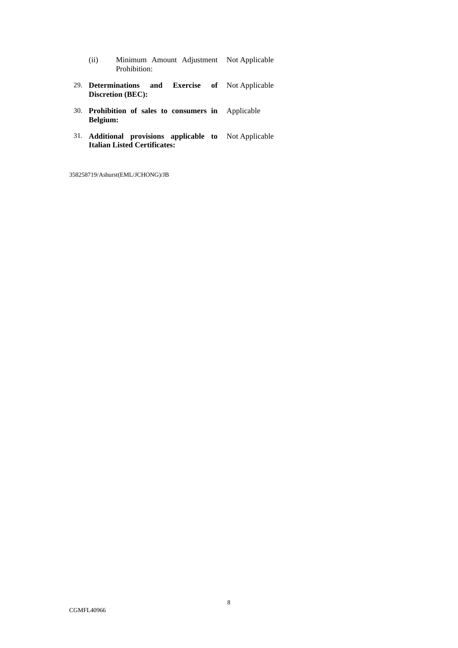- (ii) Minimum Amount Adjustment Not Applicable Prohibition:
- 29. **Determinations and Exercise Discretion (BEC):** of Not Applicable
- 30. **Prohibition of sales to consumers in Belgium:** Applicable
- 31. **Additional provisions applicable to Italian Listed Certificates:** Not Applicable

358258719/Ashurst(EML/JCHONG)/JB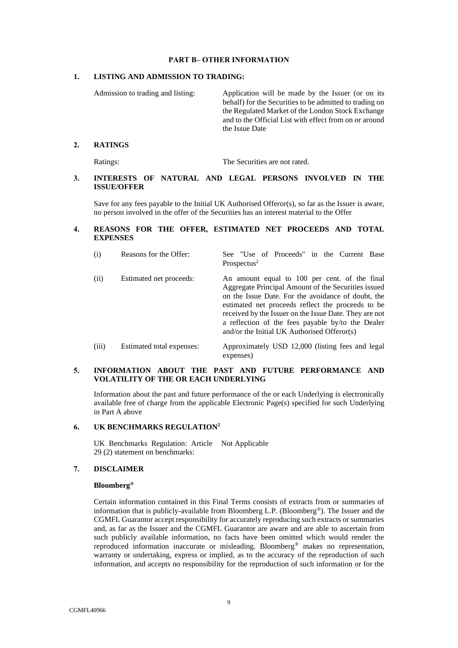## **PART B– OTHER INFORMATION**

## <span id="page-8-0"></span>**1. LISTING AND ADMISSION TO TRADING:**

Admission to trading and listing: Application will be made by the Issuer (or on its behalf) for the Securities to be admitted to trading on the Regulated Market of the London Stock Exchange and to the Official List with effect from on or around the Issue Date

#### **2. RATINGS**

Ratings: The Securities are not rated.

# **3. INTERESTS OF NATURAL AND LEGAL PERSONS INVOLVED IN THE ISSUE/OFFER**

Save for any fees payable to the Initial UK Authorised Offeror(s), so far as the Issuer is aware, no person involved in the offer of the Securities has an interest material to the Offer

# **4. REASONS FOR THE OFFER, ESTIMATED NET PROCEEDS AND TOTAL EXPENSES**

| (i)   | Reasons for the Offer:    | See "Use of Proceeds" in the Current Base<br>Prospectus <sup>2</sup>                                                                                                                                                                                                                                                                                                          |
|-------|---------------------------|-------------------------------------------------------------------------------------------------------------------------------------------------------------------------------------------------------------------------------------------------------------------------------------------------------------------------------------------------------------------------------|
| (ii)  | Estimated net proceeds:   | An amount equal to 100 per cent. of the final<br>Aggregate Principal Amount of the Securities issued<br>on the Issue Date. For the avoidance of doubt, the<br>estimated net proceeds reflect the proceeds to be<br>received by the Issuer on the Issue Date. They are not<br>a reflection of the fees payable by/to the Dealer<br>and/or the Initial UK Authorised Offeror(s) |
| (iii) | Estimated total expenses: | Approximately USD 12,000 (listing fees and legal                                                                                                                                                                                                                                                                                                                              |

# **5. INFORMATION ABOUT THE PAST AND FUTURE PERFORMANCE AND VOLATILITY OF THE OR EACH UNDERLYING**

expenses)

Information about the past and future performance of the or each Underlying is electronically available free of charge from the applicable Electronic Page(s) specified for such Underlying in [Part A above](#page-1-0)

# **6. UK BENCHMARKS REGULATION<sup>2</sup>**

UK Benchmarks Regulation: Article Not Applicable 29 (2) statement on benchmarks:

#### **7. DISCLAIMER**

#### **Bloomberg®**

Certain information contained in this Final Terms consists of extracts from or summaries of information that is publicly-available from Bloomberg L.P. (Bloomberg®). The Issuer and the CGMFL Guarantor accept responsibility for accurately reproducing such extracts or summaries and, as far as the Issuer and the CGMFL Guarantor are aware and are able to ascertain from such publicly available information, no facts have been omitted which would render the reproduced information inaccurate or misleading. Bloomberg® makes no representation, warranty or undertaking, express or implied, as to the accuracy of the reproduction of such information, and accepts no responsibility for the reproduction of such information or for the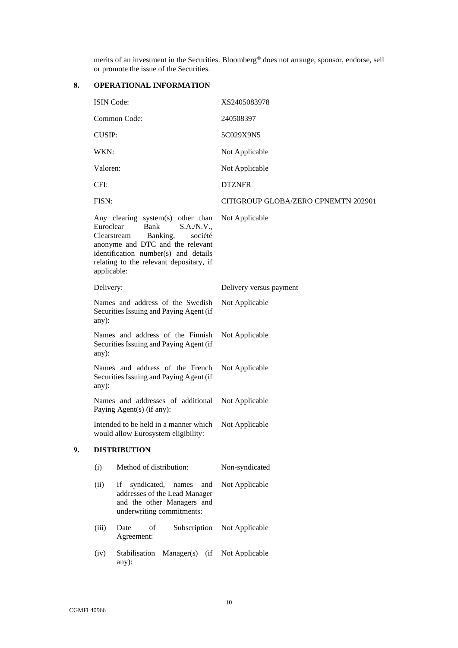merits of an investment in the Securities. Bloomberg® does not arrange, sponsor, endorse, sell or promote the issue of the Securities.

# **8. OPERATIONAL INFORMATION**

|                                                                                      | <b>ISIN Code:</b>        |                                                                                                                                                                                                                      | XS2405083978                        |  |  |
|--------------------------------------------------------------------------------------|--------------------------|----------------------------------------------------------------------------------------------------------------------------------------------------------------------------------------------------------------------|-------------------------------------|--|--|
|                                                                                      |                          | Common Code:                                                                                                                                                                                                         | 240508397                           |  |  |
|                                                                                      | <b>CUSIP:</b>            |                                                                                                                                                                                                                      | 5C029X9N5                           |  |  |
|                                                                                      | WKN:                     |                                                                                                                                                                                                                      | Not Applicable                      |  |  |
|                                                                                      | Valoren:                 |                                                                                                                                                                                                                      | Not Applicable                      |  |  |
|                                                                                      | CFI:                     |                                                                                                                                                                                                                      | <b>DTZNFR</b>                       |  |  |
|                                                                                      | FISN:                    |                                                                                                                                                                                                                      | CITIGROUP GLOBA/ZERO CPNEMTN 202901 |  |  |
|                                                                                      | Euroclear<br>applicable: | Any clearing system(s) other than<br>Bank<br>S.A./N.V.,<br>Clearstream<br>Banking,<br>société<br>anonyme and DTC and the relevant<br>identification number(s) and details<br>relating to the relevant depositary, if | Not Applicable                      |  |  |
|                                                                                      | Delivery:                |                                                                                                                                                                                                                      | Delivery versus payment             |  |  |
| Names and address of the Swedish<br>Securities Issuing and Paying Agent (if<br>any): |                          |                                                                                                                                                                                                                      | Not Applicable                      |  |  |
|                                                                                      | any):                    | Names and address of the Finnish<br>Securities Issuing and Paying Agent (if                                                                                                                                          | Not Applicable                      |  |  |
|                                                                                      | any):                    | Names and address of the French<br>Securities Issuing and Paying Agent (if                                                                                                                                           | Not Applicable                      |  |  |
|                                                                                      |                          | Names and addresses of additional<br>Paying Agent(s) (if any):                                                                                                                                                       | Not Applicable                      |  |  |
|                                                                                      |                          | Intended to be held in a manner which<br>would allow Eurosystem eligibility:                                                                                                                                         | Not Applicable                      |  |  |
| 9.                                                                                   |                          | <b>DISTRIBUTION</b>                                                                                                                                                                                                  |                                     |  |  |
|                                                                                      | (i)                      | Method of distribution:                                                                                                                                                                                              | Non-syndicated                      |  |  |
|                                                                                      | (ii)                     | syndicated,<br>names<br>If<br>and<br>addresses of the Lead Manager<br>and the other Managers and<br>underwriting commitments:                                                                                        | Not Applicable                      |  |  |
|                                                                                      | (iii)                    | Date<br>of<br>Subscription<br>Agreement:                                                                                                                                                                             | Not Applicable                      |  |  |
|                                                                                      | (iv)                     | Stabilisation<br>$Manager(s)$ (if<br>any):                                                                                                                                                                           | Not Applicable                      |  |  |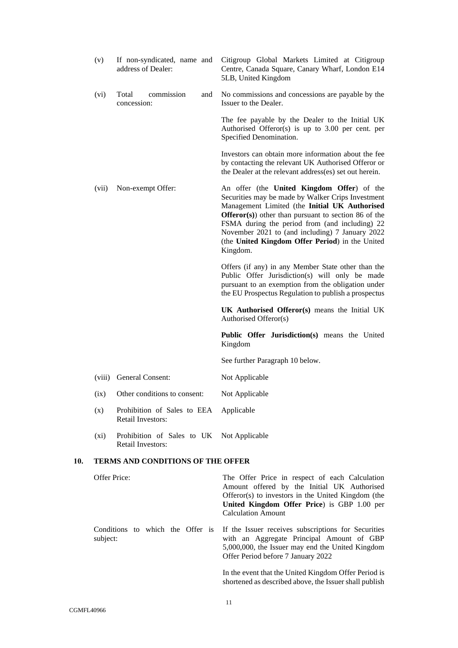|     | (v)          | If non-syndicated, name and<br>address of Dealer:                     | Citigroup Global Markets Limited at Citigroup<br>Centre, Canada Square, Canary Wharf, London E14<br>5LB, United Kingdom                                                                                                                                                                                                                                                            |
|-----|--------------|-----------------------------------------------------------------------|------------------------------------------------------------------------------------------------------------------------------------------------------------------------------------------------------------------------------------------------------------------------------------------------------------------------------------------------------------------------------------|
|     | (vi)         | commission<br>Total<br>and<br>concession:                             | No commissions and concessions are payable by the<br>Issuer to the Dealer.                                                                                                                                                                                                                                                                                                         |
|     |              |                                                                       | The fee payable by the Dealer to the Initial UK<br>Authorised Offeror(s) is up to $3.00$ per cent. per<br>Specified Denomination.                                                                                                                                                                                                                                                  |
|     |              |                                                                       | Investors can obtain more information about the fee<br>by contacting the relevant UK Authorised Offeror or<br>the Dealer at the relevant address(es) set out herein.                                                                                                                                                                                                               |
|     | (vii)        | Non-exempt Offer:                                                     | An offer (the United Kingdom Offer) of the<br>Securities may be made by Walker Crips Investment<br>Management Limited (the Initial UK Authorised<br><b>Offeror(s)</b> other than pursuant to section 86 of the<br>FSMA during the period from (and including) 22<br>November 2021 to (and including) 7 January 2022<br>(the United Kingdom Offer Period) in the United<br>Kingdom. |
|     |              |                                                                       | Offers (if any) in any Member State other than the<br>Public Offer Jurisdiction(s) will only be made<br>pursuant to an exemption from the obligation under<br>the EU Prospectus Regulation to publish a prospectus                                                                                                                                                                 |
|     |              |                                                                       | UK Authorised Offeror(s) means the Initial UK<br>Authorised Offeror(s)                                                                                                                                                                                                                                                                                                             |
|     |              |                                                                       | Public Offer Jurisdiction(s) means the United<br>Kingdom                                                                                                                                                                                                                                                                                                                           |
|     |              |                                                                       | See further Paragraph 10 below.                                                                                                                                                                                                                                                                                                                                                    |
|     | (viii)       | General Consent:                                                      | Not Applicable                                                                                                                                                                                                                                                                                                                                                                     |
|     | (ix)         | Other conditions to consent:                                          | Not Applicable                                                                                                                                                                                                                                                                                                                                                                     |
|     | (x)          | Prohibition of Sales to EEA Applicable<br><b>Retail Investors:</b>    |                                                                                                                                                                                                                                                                                                                                                                                    |
|     | $(x_i)$      | Prohibition of Sales to UK Not Applicable<br><b>Retail Investors:</b> |                                                                                                                                                                                                                                                                                                                                                                                    |
| 10. |              | <b>TERMS AND CONDITIONS OF THE OFFER</b>                              |                                                                                                                                                                                                                                                                                                                                                                                    |
|     | Offer Price: |                                                                       | The Offer Price in respect of each Calculation<br>Amount offered by the Initial UK Authorised<br>Offeror(s) to investors in the United Kingdom (the<br>United Kingdom Offer Price) is GBP 1.00 per<br><b>Calculation Amount</b>                                                                                                                                                    |
|     | subject:     | Conditions to which the Offer is                                      | If the Issuer receives subscriptions for Securities<br>with an Aggregate Principal Amount of GBP<br>5,000,000, the Issuer may end the United Kingdom<br>Offer Period before 7 January 2022                                                                                                                                                                                         |
|     |              |                                                                       | In the event that the United Kingdom Offer Period is                                                                                                                                                                                                                                                                                                                               |

<span id="page-10-0"></span>shortened as described above, the Issuer shall publish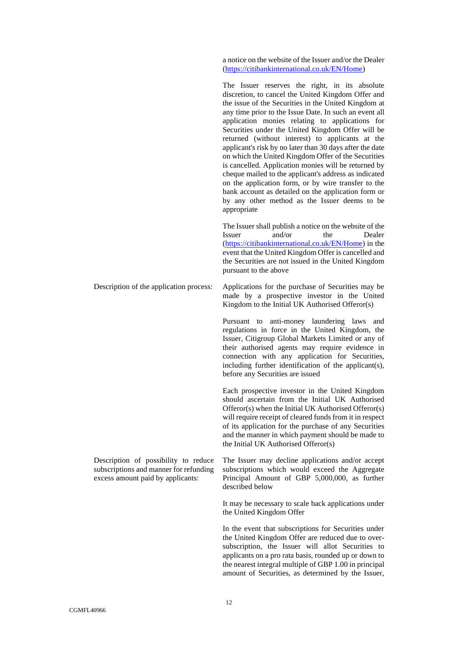a notice on the website of the Issuer and/or the Dealer [\(https://citibankinternational.co.uk/EN/Home\)](https://citibankinternational.co.uk/EN/Home)

The Issuer reserves the right, in its absolute discretion, to cancel the United Kingdom Offer and the issue of the Securities in the United Kingdom at any time prior to the Issue Date. In such an event all application monies relating to applications for Securities under the United Kingdom Offer will be returned (without interest) to applicants at the applicant's risk by no later than 30 days after the date on which the United Kingdom Offer of the Securities is cancelled. Application monies will be returned by cheque mailed to the applicant's address as indicated on the application form, or by wire transfer to the bank account as detailed on the application form or by any other method as the Issuer deems to be appropriate

The Issuer shall publish a notice on the website of the Issuer and/or the Dealer [\(https://citibankinternational.co.uk/EN/Home\)](https://citibankinternational.co.uk/EN/Home) in the event that the United Kingdom Offer is cancelled and the Securities are not issued in the United Kingdom pursuant to the above

Description of the application process: Applications for the purchase of Securities may be made by a prospective investor in the United Kingdom to the Initial UK Authorised Offeror(s)

> Pursuant to anti-money laundering laws and regulations in force in the United Kingdom, the Issuer, Citigroup Global Markets Limited or any of their authorised agents may require evidence in connection with any application for Securities, including further identification of the applicant(s), before any Securities are issued

> Each prospective investor in the United Kingdom should ascertain from the Initial UK Authorised Offeror(s) when the Initial UK Authorised Offeror(s) will require receipt of cleared funds from it in respect of its application for the purchase of any Securities and the manner in which payment should be made to the Initial UK Authorised Offeror(s)

> The Issuer may decline applications and/or accept subscriptions which would exceed the Aggregate Principal Amount of GBP 5,000,000, as further described below

It may be necessary to scale back applications under the United Kingdom Offer

In the event that subscriptions for Securities under the United Kingdom Offer are reduced due to oversubscription, the Issuer will allot Securities to applicants on a pro rata basis, rounded up or down to the nearest integral multiple of GBP 1.00 in principal amount of Securities, as determined by the Issuer,

Description of possibility to reduce subscriptions and manner for refunding excess amount paid by applicants: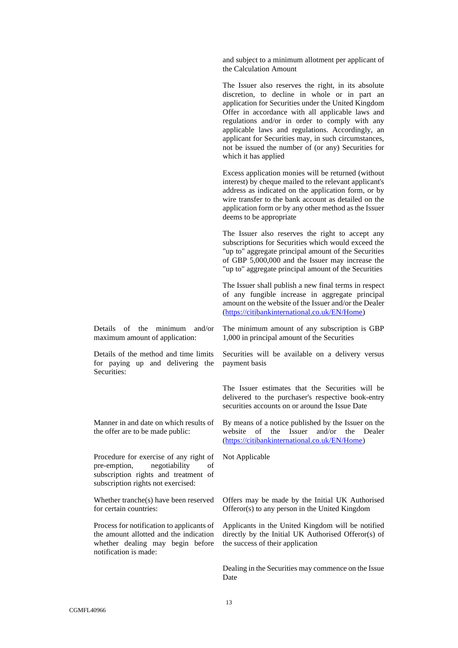and subject to a minimum allotment per applicant of the Calculation Amount

The Issuer also reserves the right, in its absolute discretion, to decline in whole or in part an application for Securities under the United Kingdom Offer in accordance with all applicable laws and regulations and/or in order to comply with any applicable laws and regulations. Accordingly, an applicant for Securities may, in such circumstances, not be issued the number of (or any) Securities for which it has applied

Excess application monies will be returned (without interest) by cheque mailed to the relevant applicant's address as indicated on the application form, or by wire transfer to the bank account as detailed on the application form or by any other method as the Issuer deems to be appropriate

The Issuer also reserves the right to accept any subscriptions for Securities which would exceed the "up to" aggregate principal amount of the Securities of GBP 5,000,000 and the Issuer may increase the "up to" aggregate principal amount of the Securities

The Issuer shall publish a new final terms in respect of any fungible increase in aggregate principal amount on the website of the Issuer and/or the Dealer [\(https://citibankinternational.co.uk/EN/Home\)](https://citibankinternational.co.uk/EN/Home)

Details of the minimum and/or maximum amount of application:

Details of the method and time limits for paying up and delivering the Securities:

Manner in and date on which results of the offer are to be made public:

Procedure for exercise of any right of pre-emption, negotiability of subscription rights and treatment of subscription rights not exercised:

Whether tranche(s) have been reserved for certain countries:

Process for notification to applicants of the amount allotted and the indication whether dealing may begin before notification is made:

The minimum amount of any subscription is GBP 1,000 in principal amount of the Securities

Securities will be available on a delivery versus payment basis

The Issuer estimates that the Securities will be delivered to the purchaser's respective book-entry securities accounts on or around the Issue Date

By means of a notice published by the Issuer on the website of the Issuer and/or the Dealer [\(https://citibankinternational.co.uk/EN/Home\)](https://citibankinternational.co.uk/EN/Home)

Not Applicable

Offers may be made by the Initial UK Authorised Offeror(s) to any person in the United Kingdom

Applicants in the United Kingdom will be notified directly by the Initial UK Authorised Offeror(s) of the success of their application

Dealing in the Securities may commence on the Issue Date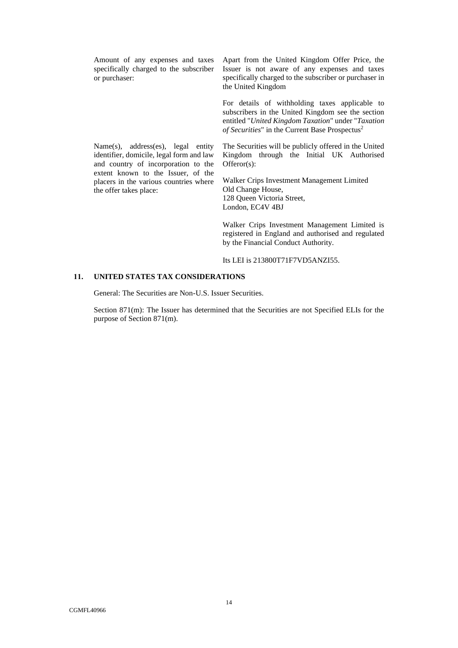Amount of any expenses and taxes specifically charged to the subscriber or purchaser:

Name(s), address(es), legal entity identifier, domicile, legal form and law and country of incorporation to the extent known to the Issuer, of the placers in the various countries where

the offer takes place:

Apart from the United Kingdom Offer Price, the Issuer is not aware of any expenses and taxes specifically charged to the subscriber or purchaser in the United Kingdom

For details of withholding taxes applicable to subscribers in the United Kingdom see the section entitled "*United Kingdom Taxation*" under "*Taxation of Securities*" in the Current Base Prospectus<sup>2</sup>

The Securities will be publicly offered in the United Kingdom through the Initial UK Authorised Offeror(s):

Walker Crips Investment Management Limited Old Change House, 128 Queen Victoria Street, London, EC4V 4BJ

Walker Crips Investment Management Limited is registered in England and authorised and regulated by the Financial Conduct Authority.

Its LEI is 213800T71F7VD5ANZI55.

#### **11. UNITED STATES TAX CONSIDERATIONS**

General: The Securities are Non-U.S. Issuer Securities.

Section 871(m): The Issuer has determined that the Securities are not Specified ELIs for the purpose of Section 871(m).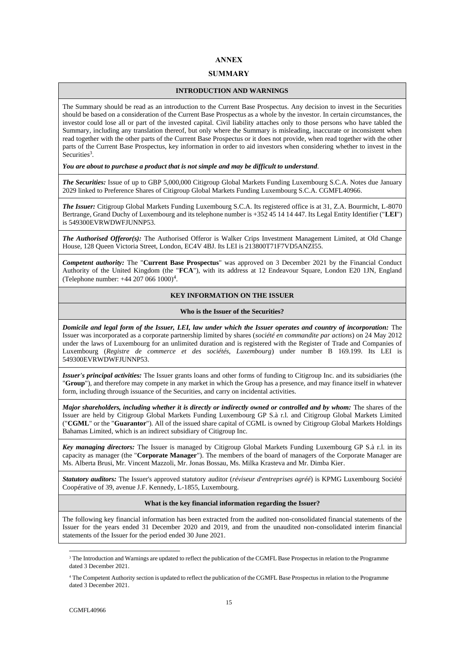# **ANNEX**

## **SUMMARY**

#### **INTRODUCTION AND WARNINGS**

The Summary should be read as an introduction to the Current Base Prospectus. Any decision to invest in the Securities should be based on a consideration of the Current Base Prospectus as a whole by the investor. In certain circumstances, the investor could lose all or part of the invested capital. Civil liability attaches only to those persons who have tabled the Summary, including any translation thereof, but only where the Summary is misleading, inaccurate or inconsistent when read together with the other parts of the Current Base Prospectus or it does not provide, when read together with the other parts of the Current Base Prospectus, key information in order to aid investors when considering whether to invest in the Securities<sup>3</sup>.

#### *You are about to purchase a product that is not simple and may be difficult to understand*.

*The Securities:* Issue of up to GBP 5,000,000 Citigroup Global Markets Funding Luxembourg S.C.A. Notes due January 2029 linked to Preference Shares of Citigroup Global Markets Funding Luxembourg S.C.A. CGMFL40966.

*The Issuer:* Citigroup Global Markets Funding Luxembourg S.C.A. Its registered office is at 31, Z.A. Bourmicht, L-8070 Bertrange, Grand Duchy of Luxembourg and its telephone number is +352 45 14 14 447. Its Legal Entity Identifier ("**LEI**") is 549300EVRWDWFJUNNP53.

*The Authorised Offeror(s):* The Authorised Offeror is Walker Crips Investment Management Limited, at Old Change House, 128 Queen Victoria Street, London, EC4V 4BJ. Its LEI is 213800T71F7VD5ANZI55.

*Competent authority:* The "**Current Base Prospectus**" was approved on 3 December 2021 by the Financial Conduct Authority of the United Kingdom (the "**FCA**"), with its address at 12 Endeavour Square, London E20 1JN, England (Telephone number:  $+44$  207 066 1000)<sup>4</sup>.

# **KEY INFORMATION ON THE ISSUER**

#### **Who is the Issuer of the Securities?**

*Domicile and legal form of the Issuer, LEI, law under which the Issuer operates and country of incorporation:* The Issuer was incorporated as a corporate partnership limited by shares (*société en commandite par actions*) on 24 May 2012 under the laws of Luxembourg for an unlimited duration and is registered with the Register of Trade and Companies of Luxembourg (*Registre de commerce et des sociétés, Luxembourg*) under number B 169.199. Its LEI is 549300EVRWDWFJUNNP53.

*Issuer's principal activities:* The Issuer grants loans and other forms of funding to Citigroup Inc. and its subsidiaries (the "**Group**"), and therefore may compete in any market in which the Group has a presence, and may finance itself in whatever form, including through issuance of the Securities, and carry on incidental activities.

*Major shareholders, including whether it is directly or indirectly owned or controlled and by whom:* The shares of the Issuer are held by Citigroup Global Markets Funding Luxembourg GP S.à r.l. and Citigroup Global Markets Limited ("**CGML**" or the "**Guarantor**"). All of the issued share capital of CGML is owned by Citigroup Global Markets Holdings Bahamas Limited, which is an indirect subsidiary of Citigroup Inc.

*Key managing directors:* The Issuer is managed by Citigroup Global Markets Funding Luxembourg GP S.à r.l. in its capacity as manager (the "**Corporate Manager**"). The members of the board of managers of the Corporate Manager are Ms. Alberta Brusi, Mr. Vincent Mazzoli, Mr. Jonas Bossau, Ms. Milka Krasteva and Mr. Dimba Kier.

*Statutory auditors:* The Issuer's approved statutory auditor (*réviseur d'entreprises agréé*) is KPMG Luxembourg Société Coopérative of 39, avenue J.F. Kennedy, L-1855, Luxembourg.

#### **What is the key financial information regarding the Issuer?**

The following key financial information has been extracted from the audited non-consolidated financial statements of the Issuer for the years ended 31 December 2020 and 2019, and from the unaudited non-consolidated interim financial statements of the Issuer for the period ended 30 June 2021.

<sup>&</sup>lt;sup>3</sup> The Introduction and Warnings are updated to reflect the publication of the CGMFL Base Prospectus in relation to the Programme dated 3 December 2021.

<sup>4</sup> The Competent Authority section is updated to reflect the publication of the CGMFL Base Prospectus in relation to the Programme dated 3 December 2021.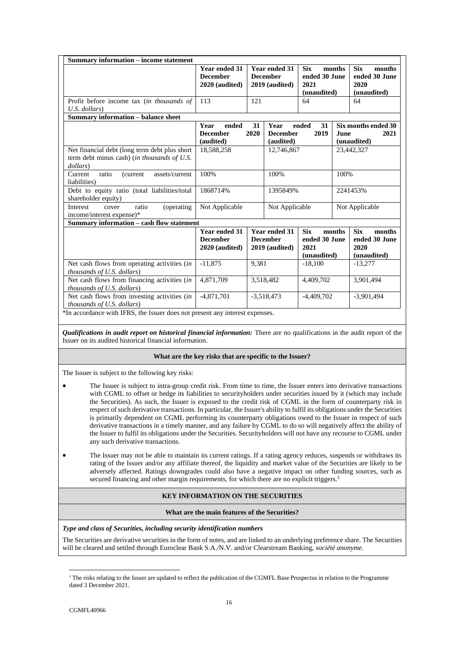| <b>Summary information – income statement</b>                                                                                                                      |                                                           |            |                                                                                                          |                                                    |                                                                        |                                                              |  |
|--------------------------------------------------------------------------------------------------------------------------------------------------------------------|-----------------------------------------------------------|------------|----------------------------------------------------------------------------------------------------------|----------------------------------------------------|------------------------------------------------------------------------|--------------------------------------------------------------|--|
|                                                                                                                                                                    | <b>Year ended 31</b><br><b>December</b><br>2020 (audited) |            | <b>Six</b><br>Year ended 31<br>ended 30 June<br><b>December</b><br>2019 (audited)<br>2021<br>(unaudited) |                                                    | <b>Six</b><br>months<br>months<br>ended 30 June<br>2020<br>(unaudited) |                                                              |  |
| Profit before income tax (in thousands of<br>U.S. dollars)                                                                                                         | 113                                                       | 121        |                                                                                                          | 64                                                 |                                                                        | 64                                                           |  |
| Summary information - balance sheet                                                                                                                                |                                                           |            |                                                                                                          |                                                    |                                                                        |                                                              |  |
|                                                                                                                                                                    | Year<br>ended<br><b>December</b><br>(audited)             | 31<br>2020 | Year<br><b>December</b><br>(audited)                                                                     | ended<br>31<br>2019                                | <b>June</b>                                                            | Six months ended 30<br>2021<br>(unaudited)                   |  |
| Net financial debt (long term debt plus short)<br>term debt minus cash) (in thousands of U.S.<br>dollars)                                                          | 18,588,258                                                | 12,746,867 |                                                                                                          |                                                    | 23,442,327                                                             |                                                              |  |
| ratio<br>assets/current<br>Current<br>(current)<br>liabilities)                                                                                                    | 100%                                                      | 100%       |                                                                                                          | 100%                                               |                                                                        |                                                              |  |
| Debt to equity ratio (total liabilities/total<br>shareholder equity)                                                                                               | 1868714%                                                  |            | 1395849%                                                                                                 |                                                    |                                                                        | 2241453%                                                     |  |
| Interest<br>ratio<br>(operating)<br>cover<br>income/interest expense)*                                                                                             | Not Applicable                                            |            | Not Applicable                                                                                           | Not Applicable                                     |                                                                        |                                                              |  |
| Summary information – cash flow statement                                                                                                                          |                                                           |            |                                                                                                          |                                                    |                                                                        |                                                              |  |
|                                                                                                                                                                    | <b>Year ended 31</b><br><b>December</b><br>2020 (audited) |            | <b>Year ended 31</b><br><b>December</b><br>2019 (audited)                                                | <b>Six</b><br>ended 30 June<br>2021<br>(unaudited) | months                                                                 | <b>Six</b><br>months<br>ended 30 June<br>2020<br>(unaudited) |  |
| Net cash flows from operating activities (in<br><i>thousands of U.S. dollars</i> )                                                                                 | $-11,875$                                                 | 9,381      |                                                                                                          | $-18,100$                                          |                                                                        | $-13,277$                                                    |  |
| Net cash flows from financing activities (in<br>thousands of U.S. dollars)                                                                                         | 4,871,709                                                 |            | 3,518,482<br>4.409.702                                                                                   |                                                    |                                                                        | 3,901,494                                                    |  |
| Net cash flows from investing activities (in<br><i>thousands of U.S. dollars</i> )<br>*In accordance with IFRS, the Issuer does not present any interest expenses. | $-4,871,701$                                              |            | $-3,518,473$                                                                                             | $-4,409,702$                                       |                                                                        | $-3,901,494$                                                 |  |

*Qualifications in audit report on historical financial information:* There are no qualifications in the audit report of the Issuer on its audited historical financial information.

#### **What are the key risks that are specific to the Issuer?**

The Issuer is subject to the following key risks:

- The Issuer is subject to intra-group credit risk. From time to time, the Issuer enters into derivative transactions with CGML to offset or hedge its liabilities to securityholders under securities issued by it (which may include the Securities). As such, the Issuer is exposed to the credit risk of CGML in the form of counterparty risk in respect of such derivative transactions. In particular, the Issuer's ability to fulfil its obligations under the Securities is primarily dependent on CGML performing its counterparty obligations owed to the Issuer in respect of such derivative transactions in a timely manner, and any failure by CGML to do so will negatively affect the ability of the Issuer to fulfil its obligations under the Securities. Securityholders will not have any recourse to CGML under any such derivative transactions.
- The Issuer may not be able to maintain its current ratings. If a rating agency reduces, suspends or withdraws its rating of the Issuer and/or any affiliate thereof, the liquidity and market value of the Securities are likely to be adversely affected. Ratings downgrades could also have a negative impact on other funding sources, such as secured financing and other margin requirements, for which there are no explicit triggers.<sup>5</sup>

#### **KEY INFORMATION ON THE SECURITIES**

#### **What are the main features of the Securities?**

*Type and class of Securities, including security identification numbers*

The Securities are derivative securities in the form of notes, and are linked to an underlying preference share. The Securities will be cleared and settled through Euroclear Bank S.A./N.V. and/or Clearstream Banking, *société anonyme*.

<sup>&</sup>lt;sup>5</sup> The risks relating to the Issuer are updated to reflect the publication of the CGMFL Base Prospectus in relation to the Programme dated 3 December 2021.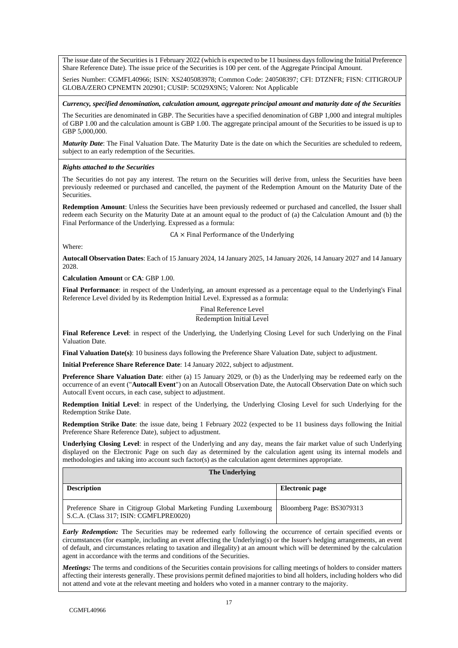The issue date of the Securities is 1 February 2022 (which is expected to be 11 business days following the Initial Preference Share Reference Date). The issue price of the Securities is 100 per cent. of the Aggregate Principal Amount.

Series Number: CGMFL40966; ISIN: XS2405083978; Common Code: 240508397; CFI: DTZNFR; FISN: CITIGROUP GLOBA/ZERO CPNEMTN 202901; CUSIP: 5C029X9N5; Valoren: Not Applicable

*Currency, specified denomination, calculation amount, aggregate principal amount and maturity date of the Securities*

The Securities are denominated in GBP. The Securities have a specified denomination of GBP 1,000 and integral multiples of GBP 1.00 and the calculation amount is GBP 1.00. The aggregate principal amount of the Securities to be issued is up to GBP 5,000,000.

*Maturity Date*: The Final Valuation Date. The Maturity Date is the date on which the Securities are scheduled to redeem, subject to an early redemption of the Securities.

#### *Rights attached to the Securities*

The Securities do not pay any interest. The return on the Securities will derive from, unless the Securities have been previously redeemed or purchased and cancelled, the payment of the Redemption Amount on the Maturity Date of the Securities.

**Redemption Amount**: Unless the Securities have been previously redeemed or purchased and cancelled, the Issuer shall redeem each Security on the Maturity Date at an amount equal to the product of (a) the Calculation Amount and (b) the Final Performance of the Underlying. Expressed as a formula:

CA × Final Performance of the Underlying

Where:

**Autocall Observation Dates**: Each of 15 January 2024, 14 January 2025, 14 January 2026, 14 January 2027 and 14 January 2028.

**Calculation Amount** or **CA**: GBP 1.00.

**Final Performance**: in respect of the Underlying, an amount expressed as a percentage equal to the Underlying's Final Reference Level divided by its Redemption Initial Level. Expressed as a formula:

# Final Reference Level

Redemption Initial Level

**Final Reference Level**: in respect of the Underlying, the Underlying Closing Level for such Underlying on the Final Valuation Date.

**Final Valuation Date(s)**: 10 business days following the Preference Share Valuation Date, subject to adjustment.

**Initial Preference Share Reference Date**: 14 January 2022, subject to adjustment.

**Preference Share Valuation Date**: either (a) 15 January 2029, or (b) as the Underlying may be redeemed early on the occurrence of an event ("**Autocall Event**") on an Autocall Observation Date, the Autocall Observation Date on which such Autocall Event occurs, in each case, subject to adjustment.

**Redemption Initial Level**: in respect of the Underlying, the Underlying Closing Level for such Underlying for the Redemption Strike Date.

**Redemption Strike Date**: the issue date, being 1 February 2022 (expected to be 11 business days following the Initial Preference Share Reference Date), subject to adjustment.

**Underlying Closing Level**: in respect of the Underlying and any day, means the fair market value of such Underlying displayed on the Electronic Page on such day as determined by the calculation agent using its internal models and methodologies and taking into account such factor(s) as the calculation agent determines appropriate.

#### **The Underlying**

| <b>Description</b>                                                                                          | Electronic page           |
|-------------------------------------------------------------------------------------------------------------|---------------------------|
| Preference Share in Citigroup Global Marketing Funding Luxembourg<br>S.C.A. (Class 317; ISIN: CGMFLPRE0020) | Bloomberg Page: BS3079313 |

*Early Redemption:* The Securities may be redeemed early following the occurrence of certain specified events or circumstances (for example, including an event affecting the Underlying(s) or the Issuer's hedging arrangements, an event of default, and circumstances relating to taxation and illegality) at an amount which will be determined by the calculation agent in accordance with the terms and conditions of the Securities.

*Meetings:* The terms and conditions of the Securities contain provisions for calling meetings of holders to consider matters affecting their interests generally. These provisions permit defined majorities to bind all holders, including holders who did not attend and vote at the relevant meeting and holders who voted in a manner contrary to the majority.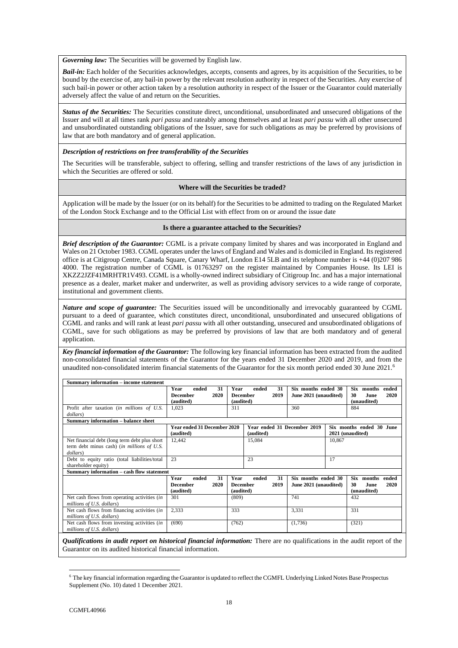*Governing law:* The Securities will be governed by English law.

*Bail-in:* Each holder of the Securities acknowledges, accepts, consents and agrees, by its acquisition of the Securities, to be bound by the exercise of, any bail-in power by the relevant resolution authority in respect of the Securities. Any exercise of such bail-in power or other action taken by a resolution authority in respect of the Issuer or the Guarantor could materially adversely affect the value of and return on the Securities.

*Status of the Securities:* The Securities constitute direct, unconditional, unsubordinated and unsecured obligations of the Issuer and will at all times rank *pari passu* and rateably among themselves and at least *pari passu* with all other unsecured and unsubordinated outstanding obligations of the Issuer, save for such obligations as may be preferred by provisions of law that are both mandatory and of general application.

#### *Description of restrictions on free transferability of the Securities*

The Securities will be transferable, subject to offering, selling and transfer restrictions of the laws of any jurisdiction in which the Securities are offered or sold.

#### **Where will the Securities be traded?**

Application will be made by the Issuer (or on its behalf) for the Securities to be admitted to trading on the Regulated Market of the London Stock Exchange and to the Official List with effect from on or around the issue date

#### **Is there a guarantee attached to the Securities?**

*Brief description of the Guarantor:* CGML is a private company limited by shares and was incorporated in England and Wales on 21 October 1983. CGML operates under the laws of England and Wales and is domiciled in England. Its registered office is at Citigroup Centre, Canada Square, Canary Wharf, London E14 5LB and its telephone number is +44 (0)207 986 4000. The registration number of CGML is 01763297 on the register maintained by Companies House. Its LEI is XKZZ2JZF41MRHTR1V493. CGML is a wholly-owned indirect subsidiary of Citigroup Inc. and has a major international presence as a dealer, market maker and underwriter, as well as providing advisory services to a wide range of corporate, institutional and government clients.

*Nature and scope of guarantee:* The Securities issued will be unconditionally and irrevocably guaranteed by CGML pursuant to a deed of guarantee, which constitutes direct, unconditional, unsubordinated and unsecured obligations of CGML and ranks and will rank at least *pari passu* with all other outstanding, unsecured and unsubordinated obligations of CGML, save for such obligations as may be preferred by provisions of law that are both mandatory and of general application.

*Key financial information of the Guarantor:* The following key financial information has been extracted from the audited non-consolidated financial statements of the Guarantor for the years ended 31 December 2020 and 2019, and from the unaudited non-consolidated interim financial statements of the Guarantor for the six month period ended 30 June 2021.<sup>6</sup>

| <b>Summary information – income statement</b>                                                            |                                                             |                                                             |                                              |                                                                    |  |
|----------------------------------------------------------------------------------------------------------|-------------------------------------------------------------|-------------------------------------------------------------|----------------------------------------------|--------------------------------------------------------------------|--|
|                                                                                                          | Year<br>31<br>ended<br>2020<br><b>December</b><br>(audited) | 31<br>Year<br>ended<br>2019<br><b>December</b><br>(audited) | Six months ended 30<br>June 2021 (unaudited) | <b>Six</b><br>months<br>ended<br>2020<br>30<br>June<br>(unaudited) |  |
| Profit after taxation (in millions of U.S.<br>dollars)                                                   | 1,023                                                       | 311                                                         | 360                                          | 884                                                                |  |
| <b>Summary information - balance sheet</b>                                                               |                                                             |                                                             |                                              |                                                                    |  |
|                                                                                                          | <b>Year ended 31 December 2020</b><br>(audited)             |                                                             | Year ended 31 December 2019                  | Six months ended 30 June<br>2021 (unaudited)                       |  |
| Net financial debt (long term debt plus short)<br>term debt minus cash) (in millions of U.S.<br>dollars) | 12,442                                                      | 15,084                                                      | 10,867                                       |                                                                    |  |
| Debt to equity ratio (total liabilities/total<br>shareholder equity)                                     | 23                                                          | 23                                                          | 17                                           |                                                                    |  |
| Summary information - cash flow statement                                                                |                                                             |                                                             |                                              |                                                                    |  |
|                                                                                                          | 31<br>Year<br>ended<br><b>December</b><br>2020<br>(audited) | 31<br>Year<br>ended<br>2019<br><b>December</b><br>(audited) | Six months ended 30<br>June 2021 (unaudited) | <b>Six</b><br>months<br>ended<br>2020<br>30<br>June<br>(unaudited) |  |
| Net cash flows from operating activities (in<br>millions of U.S. dollars)                                | 301                                                         | (809)                                                       | 741                                          | 432                                                                |  |
| 2,333<br>Net cash flows from financing activities <i>(in</i> )<br>millions of U.S. dollars)              |                                                             | 333                                                         | 3,331                                        | 331                                                                |  |
| Net cash flows from investing activities (in<br>millions of U.S. dollars)                                | (690)                                                       | (762)                                                       | (1,736)                                      | (321)                                                              |  |

*Qualifications in audit report on historical financial information:* There are no qualifications in the audit report of the Guarantor on its audited historical financial information.

<sup>6</sup> The key financial information regarding the Guarantor is updated to reflect the CGMFL Underlying Linked Notes Base Prospectus Supplement (No. 10) dated 1 December 2021.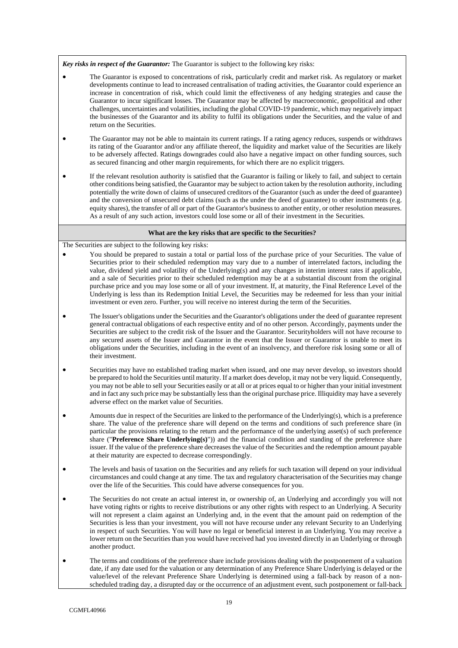*Key risks in respect of the Guarantor:* The Guarantor is subject to the following key risks:

- The Guarantor is exposed to concentrations of risk, particularly credit and market risk. As regulatory or market developments continue to lead to increased centralisation of trading activities, the Guarantor could experience an increase in concentration of risk, which could limit the effectiveness of any hedging strategies and cause the Guarantor to incur significant losses. The Guarantor may be affected by macroeconomic, geopolitical and other challenges, uncertainties and volatilities, including the global COVID-19 pandemic, which may negatively impact the businesses of the Guarantor and its ability to fulfil its obligations under the Securities, and the value of and return on the Securities.
- The Guarantor may not be able to maintain its current ratings. If a rating agency reduces, suspends or withdraws its rating of the Guarantor and/or any affiliate thereof, the liquidity and market value of the Securities are likely to be adversely affected. Ratings downgrades could also have a negative impact on other funding sources, such as secured financing and other margin requirements, for which there are no explicit triggers.
- If the relevant resolution authority is satisfied that the Guarantor is failing or likely to fail, and subject to certain other conditions being satisfied, the Guarantor may be subject to action taken by the resolution authority, including potentially the write down of claims of unsecured creditors of the Guarantor (such as under the deed of guarantee) and the conversion of unsecured debt claims (such as the under the deed of guarantee) to other instruments (e.g. equity shares), the transfer of all or part of the Guarantor's business to another entity, or other resolution measures. As a result of any such action, investors could lose some or all of their investment in the Securities.

#### **What are the key risks that are specific to the Securities?**

The Securities are subject to the following key risks:

- You should be prepared to sustain a total or partial loss of the purchase price of your Securities. The value of Securities prior to their scheduled redemption may vary due to a number of interrelated factors, including the value, dividend yield and volatility of the Underlying(s) and any changes in interim interest rates if applicable, and a sale of Securities prior to their scheduled redemption may be at a substantial discount from the original purchase price and you may lose some or all of your investment. If, at maturity, the Final Reference Level of the Underlying is less than its Redemption Initial Level, the Securities may be redeemed for less than your initial investment or even zero. Further, you will receive no interest during the term of the Securities.
- The Issuer's obligations under the Securities and the Guarantor's obligations under the deed of guarantee represent general contractual obligations of each respective entity and of no other person. Accordingly, payments under the Securities are subject to the credit risk of the Issuer and the Guarantor. Securityholders will not have recourse to any secured assets of the Issuer and Guarantor in the event that the Issuer or Guarantor is unable to meet its obligations under the Securities, including in the event of an insolvency, and therefore risk losing some or all of their investment.
- Securities may have no established trading market when issued, and one may never develop, so investors should be prepared to hold the Securities until maturity. If a market does develop, it may not be very liquid. Consequently, you may not be able to sell your Securities easily or at all or at prices equal to or higher than your initial investment and in fact any such price may be substantially less than the original purchase price. Illiquidity may have a severely adverse effect on the market value of Securities.
- Amounts due in respect of the Securities are linked to the performance of the Underlying(s), which is a preference share. The value of the preference share will depend on the terms and conditions of such preference share (in particular the provisions relating to the return and the performance of the underlying asset(s) of such preference share ("**Preference Share Underlying(s)**")) and the financial condition and standing of the preference share issuer. If the value of the preference share decreases the value of the Securities and the redemption amount payable at their maturity are expected to decrease correspondingly.
- The levels and basis of taxation on the Securities and any reliefs for such taxation will depend on your individual circumstances and could change at any time. The tax and regulatory characterisation of the Securities may change over the life of the Securities. This could have adverse consequences for you.
- The Securities do not create an actual interest in, or ownership of, an Underlying and accordingly you will not have voting rights or rights to receive distributions or any other rights with respect to an Underlying. A Security will not represent a claim against an Underlying and, in the event that the amount paid on redemption of the Securities is less than your investment, you will not have recourse under any relevant Security to an Underlying in respect of such Securities. You will have no legal or beneficial interest in an Underlying. You may receive a lower return on the Securities than you would have received had you invested directly in an Underlying or through another product.
- The terms and conditions of the preference share include provisions dealing with the postponement of a valuation date, if any date used for the valuation or any determination of any Preference Share Underlying is delayed or the value/level of the relevant Preference Share Underlying is determined using a fall-back by reason of a nonscheduled trading day, a disrupted day or the occurrence of an adjustment event, such postponement or fall-back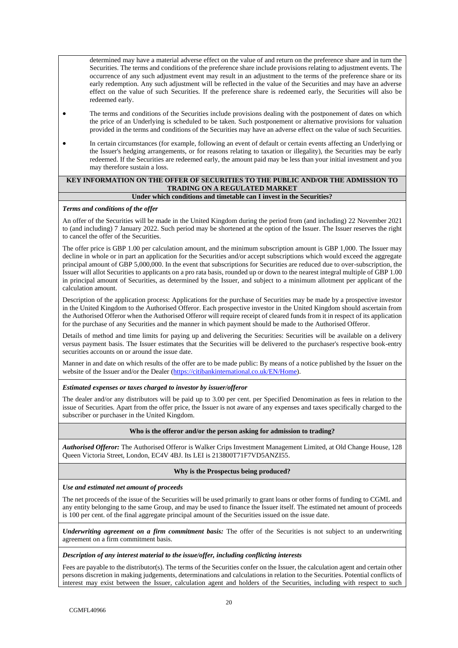determined may have a material adverse effect on the value of and return on the preference share and in turn the Securities. The terms and conditions of the preference share include provisions relating to adjustment events. The occurrence of any such adjustment event may result in an adjustment to the terms of the preference share or its early redemption. Any such adjustment will be reflected in the value of the Securities and may have an adverse effect on the value of such Securities. If the preference share is redeemed early, the Securities will also be redeemed early.

- The terms and conditions of the Securities include provisions dealing with the postponement of dates on which the price of an Underlying is scheduled to be taken. Such postponement or alternative provisions for valuation provided in the terms and conditions of the Securities may have an adverse effect on the value of such Securities.
- In certain circumstances (for example, following an event of default or certain events affecting an Underlying or the Issuer's hedging arrangements, or for reasons relating to taxation or illegality), the Securities may be early redeemed. If the Securities are redeemed early, the amount paid may be less than your initial investment and you may therefore sustain a loss.

# **KEY INFORMATION ON THE OFFER OF SECURITIES TO THE PUBLIC AND/OR THE ADMISSION TO TRADING ON A REGULATED MARKET**

# **Under which conditions and timetable can I invest in the Securities?**

## *Terms and conditions of the offer*

An offer of the Securities will be made in the United Kingdom during the period from (and including) 22 November 2021 to (and including) 7 January 2022. Such period may be shortened at the option of the Issuer. The Issuer reserves the right to cancel the offer of the Securities.

The offer price is GBP 1.00 per calculation amount, and the minimum subscription amount is GBP 1,000. The Issuer may decline in whole or in part an application for the Securities and/or accept subscriptions which would exceed the aggregate principal amount of GBP 5,000,000. In the event that subscriptions for Securities are reduced due to over-subscription, the Issuer will allot Securities to applicants on a pro rata basis, rounded up or down to the nearest integral multiple of GBP 1.00 in principal amount of Securities, as determined by the Issuer, and subject to a minimum allotment per applicant of the calculation amount.

Description of the application process: Applications for the purchase of Securities may be made by a prospective investor in the United Kingdom to the Authorised Offeror. Each prospective investor in the United Kingdom should ascertain from the Authorised Offeror when the Authorised Offeror will require receipt of cleared funds from it in respect of its application for the purchase of any Securities and the manner in which payment should be made to the Authorised Offeror.

Details of method and time limits for paying up and delivering the Securities: Securities will be available on a delivery versus payment basis. The Issuer estimates that the Securities will be delivered to the purchaser's respective book-entry securities accounts on or around the issue date.

Manner in and date on which results of the offer are to be made public: By means of a notice published by the Issuer on the website of the Issuer and/or the Dealer [\(https://citibankinternational.co.uk/EN/Home\)](https://citibankinternational.co.uk/EN/Home).

#### *Estimated expenses or taxes charged to investor by issuer/offeror*

The dealer and/or any distributors will be paid up to 3.00 per cent. per Specified Denomination as fees in relation to the issue of Securities. Apart from the offer price, the Issuer is not aware of any expenses and taxes specifically charged to the subscriber or purchaser in the United Kingdom.

#### **Who is the offeror and/or the person asking for admission to trading?**

*Authorised Offeror:* The Authorised Offeror is Walker Crips Investment Management Limited, at Old Change House, 128 Queen Victoria Street, London, EC4V 4BJ. Its LEI is 213800T71F7VD5ANZI55.

# **Why is the Prospectus being produced?**

#### *Use and estimated net amount of proceeds*

The net proceeds of the issue of the Securities will be used primarily to grant loans or other forms of funding to CGML and any entity belonging to the same Group, and may be used to finance the Issuer itself. The estimated net amount of proceeds is 100 per cent. of the final aggregate principal amount of the Securities issued on the issue date.

*Underwriting agreement on a firm commitment basis:* The offer of the Securities is not subject to an underwriting agreement on a firm commitment basis.

#### *Description of any interest material to the issue/offer, including conflicting interests*

Fees are payable to the distributor(s). The terms of the Securities confer on the Issuer, the calculation agent and certain other persons discretion in making judgements, determinations and calculations in relation to the Securities. Potential conflicts of interest may exist between the Issuer, calculation agent and holders of the Securities, including with respect to such